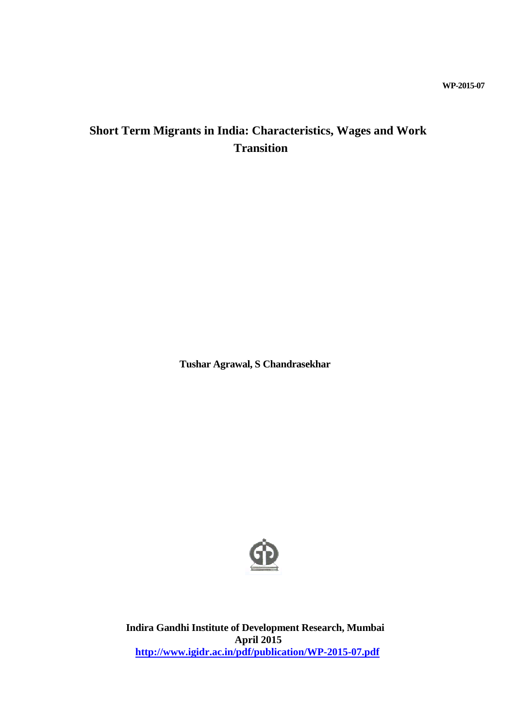# **WP-2015-07**

# **Short Term Migrants in India: Characteristics, Wages and Work Transition**

**Tushar Agrawal, S Chandrasekhar**



**Indira Gandhi Institute of Development Research, Mumbai April 2015 <http://www.igidr.ac.in/pdf/publication/WP-2015-07.pdf>**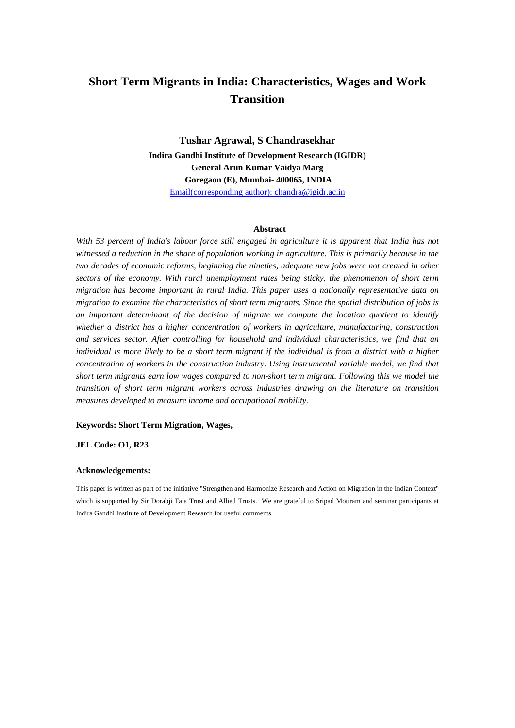# **Short Term Migrants in India: Characteristics, Wages and Work Transition**

**Tushar Agrawal, S Chandrasekhar Indira Gandhi Institute of Development Research (IGIDR) General Arun Kumar Vaidya Marg Goregaon (E), Mumbai- 400065, INDIA** Email(corresponding author): chandra@igidr.ac.in

#### **Abstract**

*With 53 percent of India's labour force still engaged in agriculture it is apparent that India has not witnessed a reduction in the share of population working in agriculture. This is primarily because in the two decades of economic reforms, beginning the nineties, adequate new jobs were not created in other sectors of the economy. With rural unemployment rates being sticky, the phenomenon of short term migration has become important in rural India. This paper uses a nationally representative data on migration to examine the characteristics of short term migrants. Since the spatial distribution of jobs is an important determinant of the decision of migrate we compute the location quotient to identify whether a district has a higher concentration of workers in agriculture, manufacturing, construction and services sector. After controlling for household and individual characteristics, we find that an individual is more likely to be a short term migrant if the individual is from a district with a higher concentration of workers in the construction industry. Using instrumental variable model, we find that short term migrants earn low wages compared to non-short term migrant. Following this we model the transition of short term migrant workers across industries drawing on the literature on transition measures developed to measure income and occupational mobility.*

#### **Keywords: Short Term Migration, Wages,**

**JEL Code: O1, R23**

#### **Acknowledgements:**

This paper is written as part of the initiative "Strengthen and Harmonize Research and Action on Migration in the Indian Context" which is supported by Sir Dorabji Tata Trust and Allied Trusts. We are grateful to Sripad Motiram and seminar participants at Indira Gandhi Institute of Development Research for useful comments.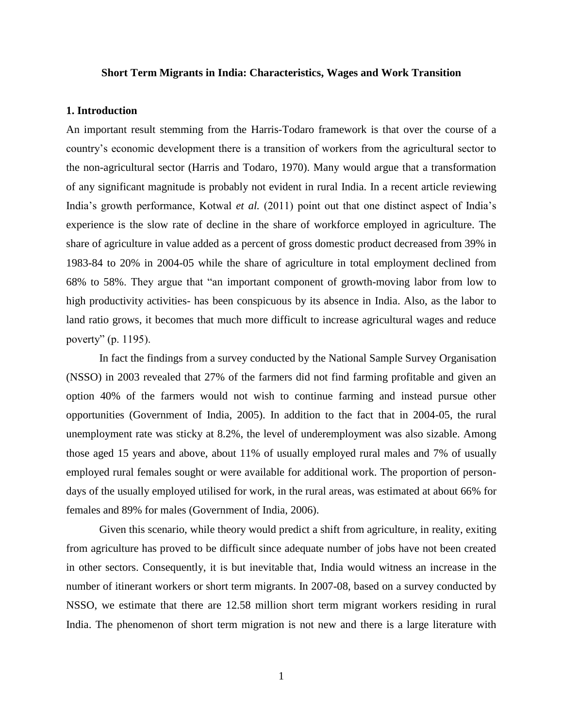## **Short Term Migrants in India: Characteristics, Wages and Work Transition**

# **1. Introduction**

An important result stemming from the Harris-Todaro framework is that over the course of a country's economic development there is a transition of workers from the agricultural sector to the non-agricultural sector (Harris and Todaro, 1970). Many would argue that a transformation of any significant magnitude is probably not evident in rural India. In a recent article reviewing India's growth performance, Kotwal *et al.* (2011) point out that one distinct aspect of India's experience is the slow rate of decline in the share of workforce employed in agriculture. The share of agriculture in value added as a percent of gross domestic product decreased from 39% in 1983-84 to 20% in 2004-05 while the share of agriculture in total employment declined from 68% to 58%. They argue that "an important component of growth-moving labor from low to high productivity activities- has been conspicuous by its absence in India. Also, as the labor to land ratio grows, it becomes that much more difficult to increase agricultural wages and reduce poverty" (p. 1195).

In fact the findings from a survey conducted by the National Sample Survey Organisation (NSSO) in 2003 revealed that 27% of the farmers did not find farming profitable and given an option 40% of the farmers would not wish to continue farming and instead pursue other opportunities (Government of India, 2005). In addition to the fact that in 2004-05, the rural unemployment rate was sticky at 8.2%, the level of underemployment was also sizable. Among those aged 15 years and above, about 11% of usually employed rural males and 7% of usually employed rural females sought or were available for additional work. The proportion of persondays of the usually employed utilised for work, in the rural areas, was estimated at about 66% for females and 89% for males (Government of India, 2006).

Given this scenario, while theory would predict a shift from agriculture, in reality, exiting from agriculture has proved to be difficult since adequate number of jobs have not been created in other sectors. Consequently, it is but inevitable that, India would witness an increase in the number of itinerant workers or short term migrants. In 2007-08, based on a survey conducted by NSSO, we estimate that there are 12.58 million short term migrant workers residing in rural India. The phenomenon of short term migration is not new and there is a large literature with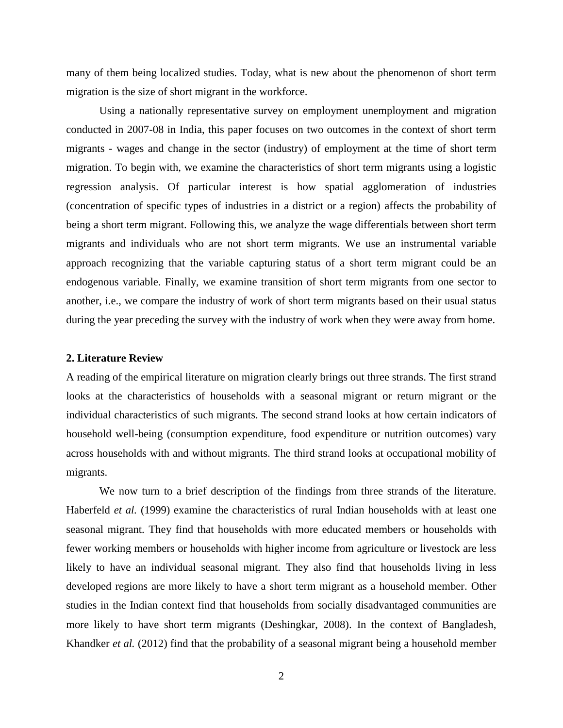many of them being localized studies. Today, what is new about the phenomenon of short term migration is the size of short migrant in the workforce.

Using a nationally representative survey on employment unemployment and migration conducted in 2007-08 in India, this paper focuses on two outcomes in the context of short term migrants - wages and change in the sector (industry) of employment at the time of short term migration. To begin with, we examine the characteristics of short term migrants using a logistic regression analysis. Of particular interest is how spatial agglomeration of industries (concentration of specific types of industries in a district or a region) affects the probability of being a short term migrant. Following this, we analyze the wage differentials between short term migrants and individuals who are not short term migrants. We use an instrumental variable approach recognizing that the variable capturing status of a short term migrant could be an endogenous variable. Finally, we examine transition of short term migrants from one sector to another, i.e., we compare the industry of work of short term migrants based on their usual status during the year preceding the survey with the industry of work when they were away from home.

# **2. Literature Review**

A reading of the empirical literature on migration clearly brings out three strands. The first strand looks at the characteristics of households with a seasonal migrant or return migrant or the individual characteristics of such migrants. The second strand looks at how certain indicators of household well-being (consumption expenditure, food expenditure or nutrition outcomes) vary across households with and without migrants. The third strand looks at occupational mobility of migrants.

We now turn to a brief description of the findings from three strands of the literature. Haberfeld *et al.* (1999) examine the characteristics of rural Indian households with at least one seasonal migrant. They find that households with more educated members or households with fewer working members or households with higher income from agriculture or livestock are less likely to have an individual seasonal migrant. They also find that households living in less developed regions are more likely to have a short term migrant as a household member. Other studies in the Indian context find that households from socially disadvantaged communities are more likely to have short term migrants (Deshingkar, 2008). In the context of Bangladesh, Khandker *et al.* (2012) find that the probability of a seasonal migrant being a household member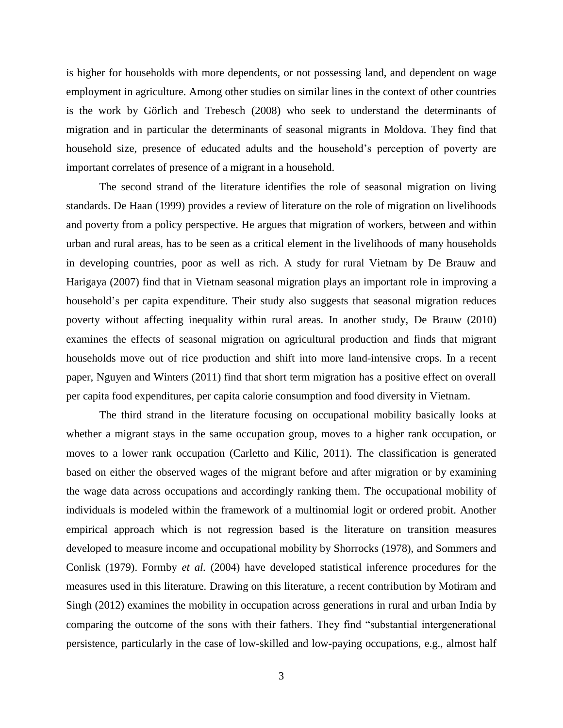is higher for households with more dependents, or not possessing land, and dependent on wage employment in agriculture. Among other studies on similar lines in the context of other countries is the work by Görlich and Trebesch (2008) who seek to understand the determinants of migration and in particular the determinants of seasonal migrants in Moldova. They find that household size, presence of educated adults and the household's perception of poverty are important correlates of presence of a migrant in a household.

The second strand of the literature identifies the role of seasonal migration on living standards. De Haan (1999) provides a review of literature on the role of migration on livelihoods and poverty from a policy perspective. He argues that migration of workers, between and within urban and rural areas, has to be seen as a critical element in the livelihoods of many households in developing countries, poor as well as rich. A study for rural Vietnam by De Brauw and Harigaya (2007) find that in Vietnam seasonal migration plays an important role in improving a household's per capita expenditure. Their study also suggests that seasonal migration reduces poverty without affecting inequality within rural areas. In another study, De Brauw (2010) examines the effects of seasonal migration on agricultural production and finds that migrant households move out of rice production and shift into more land-intensive crops. In a recent paper, Nguyen and Winters (2011) find that short term migration has a positive effect on overall per capita food expenditures, per capita calorie consumption and food diversity in Vietnam.

The third strand in the literature focusing on occupational mobility basically looks at whether a migrant stays in the same occupation group, moves to a higher rank occupation, or moves to a lower rank occupation (Carletto and Kilic, 2011). The classification is generated based on either the observed wages of the migrant before and after migration or by examining the wage data across occupations and accordingly ranking them. The occupational mobility of individuals is modeled within the framework of a multinomial logit or ordered probit. Another empirical approach which is not regression based is the literature on transition measures developed to measure income and occupational mobility by Shorrocks (1978), and Sommers and Conlisk (1979). Formby *et al.* (2004) have developed statistical inference procedures for the measures used in this literature. Drawing on this literature, a recent contribution by Motiram and Singh (2012) examines the mobility in occupation across generations in rural and urban India by comparing the outcome of the sons with their fathers. They find "substantial intergenerational persistence, particularly in the case of low-skilled and low-paying occupations, e.g., almost half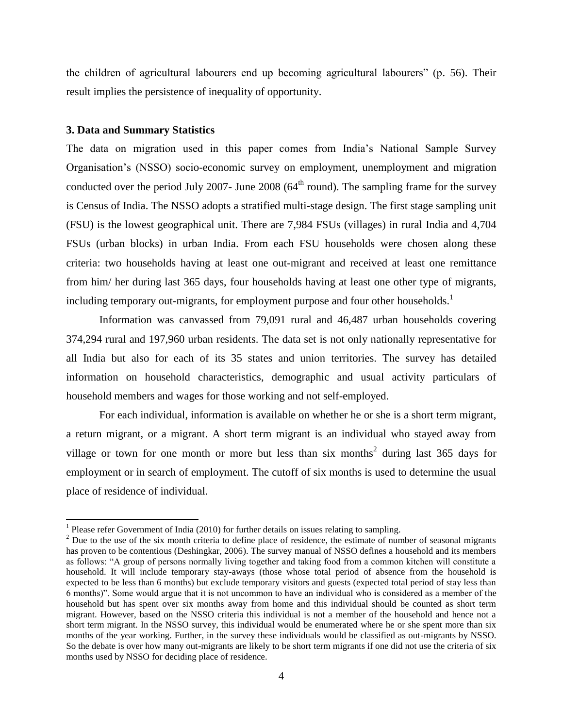the children of agricultural labourers end up becoming agricultural labourers" (p. 56). Their result implies the persistence of inequality of opportunity.

# **3. Data and Summary Statistics**

 $\overline{\phantom{a}}$ 

The data on migration used in this paper comes from India's National Sample Survey Organisation's (NSSO) socio-economic survey on employment, unemployment and migration conducted over the period July 2007- June 2008 ( $64<sup>th</sup>$  round). The sampling frame for the survey is Census of India. The NSSO adopts a stratified multi-stage design. The first stage sampling unit (FSU) is the lowest geographical unit. There are 7,984 FSUs (villages) in rural India and 4,704 FSUs (urban blocks) in urban India. From each FSU households were chosen along these criteria: two households having at least one out-migrant and received at least one remittance from him/ her during last 365 days, four households having at least one other type of migrants, including temporary out-migrants, for employment purpose and four other households.<sup>1</sup>

Information was canvassed from 79,091 rural and 46,487 urban households covering 374,294 rural and 197,960 urban residents. The data set is not only nationally representative for all India but also for each of its 35 states and union territories. The survey has detailed information on household characteristics, demographic and usual activity particulars of household members and wages for those working and not self-employed.

For each individual, information is available on whether he or she is a short term migrant, a return migrant, or a migrant. A short term migrant is an individual who stayed away from village or town for one month or more but less than six months<sup>2</sup> during last  $365$  days for employment or in search of employment. The cutoff of six months is used to determine the usual place of residence of individual.

<sup>&</sup>lt;sup>1</sup> Please refer Government of India (2010) for further details on issues relating to sampling.

 $2$  Due to the use of the six month criteria to define place of residence, the estimate of number of seasonal migrants has proven to be contentious (Deshingkar, 2006). The survey manual of NSSO defines a household and its members as follows: "A group of persons normally living together and taking food from a common kitchen will constitute a household. It will include temporary stay-aways (those whose total period of absence from the household is expected to be less than 6 months) but exclude temporary visitors and guests (expected total period of stay less than 6 months)". Some would argue that it is not uncommon to have an individual who is considered as a member of the household but has spent over six months away from home and this individual should be counted as short term migrant. However, based on the NSSO criteria this individual is not a member of the household and hence not a short term migrant. In the NSSO survey, this individual would be enumerated where he or she spent more than six months of the year working. Further, in the survey these individuals would be classified as out-migrants by NSSO. So the debate is over how many out-migrants are likely to be short term migrants if one did not use the criteria of six months used by NSSO for deciding place of residence.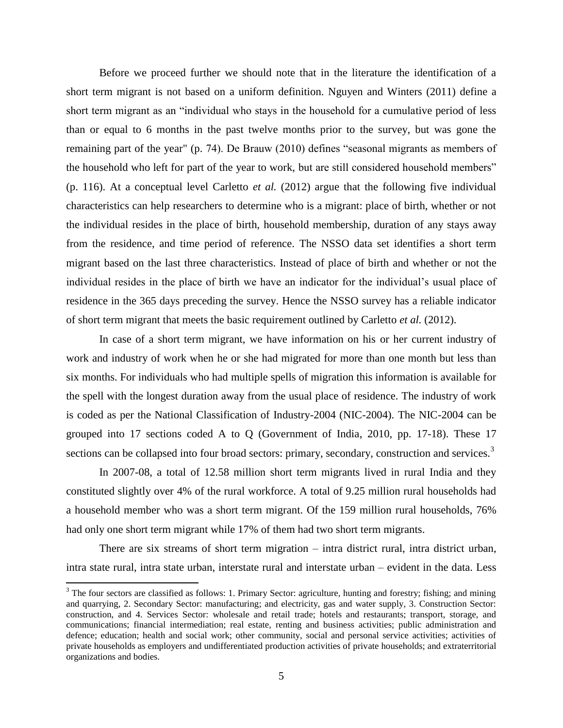Before we proceed further we should note that in the literature the identification of a short term migrant is not based on a uniform definition. Nguyen and Winters (2011) define a short term migrant as an "individual who stays in the household for a cumulative period of less than or equal to 6 months in the past twelve months prior to the survey, but was gone the remaining part of the year" (p. 74). De Brauw (2010) defines "seasonal migrants as members of the household who left for part of the year to work, but are still considered household members" (p. 116). At a conceptual level Carletto *et al.* (2012) argue that the following five individual characteristics can help researchers to determine who is a migrant: place of birth, whether or not the individual resides in the place of birth, household membership, duration of any stays away from the residence, and time period of reference. The NSSO data set identifies a short term migrant based on the last three characteristics. Instead of place of birth and whether or not the individual resides in the place of birth we have an indicator for the individual's usual place of residence in the 365 days preceding the survey. Hence the NSSO survey has a reliable indicator of short term migrant that meets the basic requirement outlined by Carletto *et al.* (2012).

In case of a short term migrant, we have information on his or her current industry of work and industry of work when he or she had migrated for more than one month but less than six months. For individuals who had multiple spells of migration this information is available for the spell with the longest duration away from the usual place of residence. The industry of work is coded as per the National Classification of Industry-2004 (NIC-2004). The NIC-2004 can be grouped into 17 sections coded A to Q (Government of India, 2010, pp. 17-18). These 17 sections can be collapsed into four broad sectors: primary, secondary, construction and services.<sup>3</sup>

In 2007-08, a total of 12.58 million short term migrants lived in rural India and they constituted slightly over 4% of the rural workforce. A total of 9.25 million rural households had a household member who was a short term migrant. Of the 159 million rural households, 76% had only one short term migrant while 17% of them had two short term migrants.

There are six streams of short term migration – intra district rural, intra district urban, intra state rural, intra state urban, interstate rural and interstate urban – evident in the data. Less

 $\overline{\phantom{a}}$ 

 $3$  The four sectors are classified as follows: 1. Primary Sector: agriculture, hunting and forestry; fishing; and mining and quarrying, 2. Secondary Sector: manufacturing; and electricity, gas and water supply, 3. Construction Sector: construction, and 4. Services Sector: wholesale and retail trade; hotels and restaurants; transport, storage, and communications; financial intermediation; real estate, renting and business activities; public administration and defence; education; health and social work; other community, social and personal service activities; activities of private households as employers and undifferentiated production activities of private households; and extraterritorial organizations and bodies.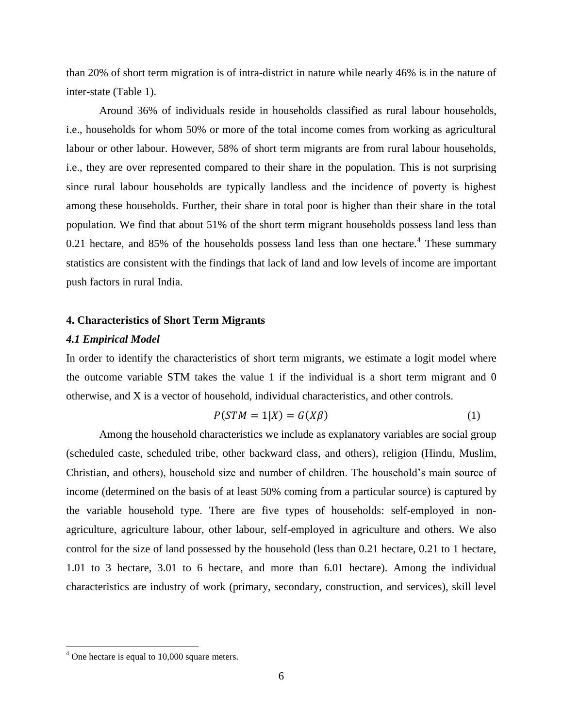than 20% of short term migration is of intra-district in nature while nearly 46% is in the nature of inter-state (Table 1).

Around 36% of individuals reside in households classified as rural labour households, i.e., households for whom 50% or more of the total income comes from working as agricultural labour or other labour. However, 58% of short term migrants are from rural labour households, i.e., they are over represented compared to their share in the population. This is not surprising since rural labour households are typically landless and the incidence of poverty is highest among these households. Further, their share in total poor is higher than their share in the total population. We find that about 51% of the short term migrant households possess land less than 0.21 hectare, and 85% of the households possess land less than one hectare.<sup>4</sup> These summary statistics are consistent with the findings that lack of land and low levels of income are important push factors in rural India.

# **4. Characteristics of Short Term Migrants**

# *4.1 Empirical Model*

In order to identify the characteristics of short term migrants, we estimate a logit model where the outcome variable STM takes the value 1 if the individual is a short term migrant and 0 otherwise, and X is a vector of household, individual characteristics, and other controls.

$$
P(STM = 1|X) = G(X\beta)
$$
 (1)

Among the household characteristics we include as explanatory variables are social group (scheduled caste, scheduled tribe, other backward class, and others), religion (Hindu, Muslim, Christian, and others), household size and number of children. The household's main source of income (determined on the basis of at least 50% coming from a particular source) is captured by the variable household type. There are five types of households: self-employed in nonagriculture, agriculture labour, other labour, self-employed in agriculture and others. We also control for the size of land possessed by the household (less than 0.21 hectare, 0.21 to 1 hectare, 1.01 to 3 hectare, 3.01 to 6 hectare, and more than 6.01 hectare). Among the individual characteristics are industry of work (primary, secondary, construction, and services), skill level

 $\overline{\phantom{a}}$ 

 $4^4$  One hectare is equal to 10,000 square meters.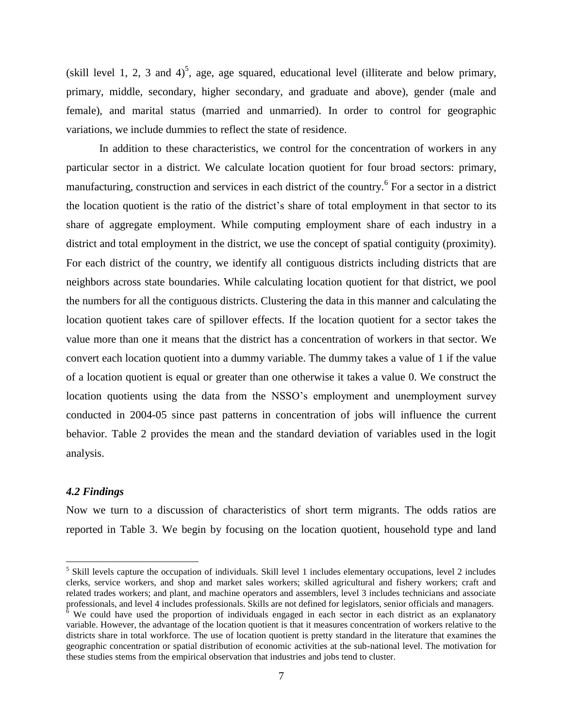(skill level 1, 2, 3 and 4)<sup>5</sup>, age, age squared, educational level (illiterate and below primary, primary, middle, secondary, higher secondary, and graduate and above), gender (male and female), and marital status (married and unmarried). In order to control for geographic variations, we include dummies to reflect the state of residence.

In addition to these characteristics, we control for the concentration of workers in any particular sector in a district. We calculate location quotient for four broad sectors: primary, manufacturing, construction and services in each district of the country.<sup>6</sup> For a sector in a district the location quotient is the ratio of the district's share of total employment in that sector to its share of aggregate employment. While computing employment share of each industry in a district and total employment in the district, we use the concept of spatial contiguity (proximity). For each district of the country, we identify all contiguous districts including districts that are neighbors across state boundaries. While calculating location quotient for that district, we pool the numbers for all the contiguous districts. Clustering the data in this manner and calculating the location quotient takes care of spillover effects. If the location quotient for a sector takes the value more than one it means that the district has a concentration of workers in that sector. We convert each location quotient into a dummy variable. The dummy takes a value of 1 if the value of a location quotient is equal or greater than one otherwise it takes a value 0. We construct the location quotients using the data from the NSSO's employment and unemployment survey conducted in 2004-05 since past patterns in concentration of jobs will influence the current behavior. Table 2 provides the mean and the standard deviation of variables used in the logit analysis.

# *4.2 Findings*

 $\overline{\phantom{a}}$ 

Now we turn to a discussion of characteristics of short term migrants. The odds ratios are reported in Table 3. We begin by focusing on the location quotient, household type and land

<sup>&</sup>lt;sup>5</sup> Skill levels capture the occupation of individuals. Skill level 1 includes elementary occupations, level 2 includes clerks, service workers, and shop and market sales workers; skilled agricultural and fishery workers; craft and related trades workers; and plant, and machine operators and assemblers, level 3 includes technicians and associate professionals, and level 4 includes professionals. Skills are not defined for legislators, senior officials and managers. <sup>6</sup> We could have used the proportion of individuals engaged in each sector in each district as an explanatory variable. However, the advantage of the location quotient is that it measures concentration of workers relative to the districts share in total workforce. The use of location quotient is pretty standard in the literature that examines the geographic concentration or spatial distribution of economic activities at the sub-national level. The motivation for these studies stems from the empirical observation that industries and jobs tend to cluster.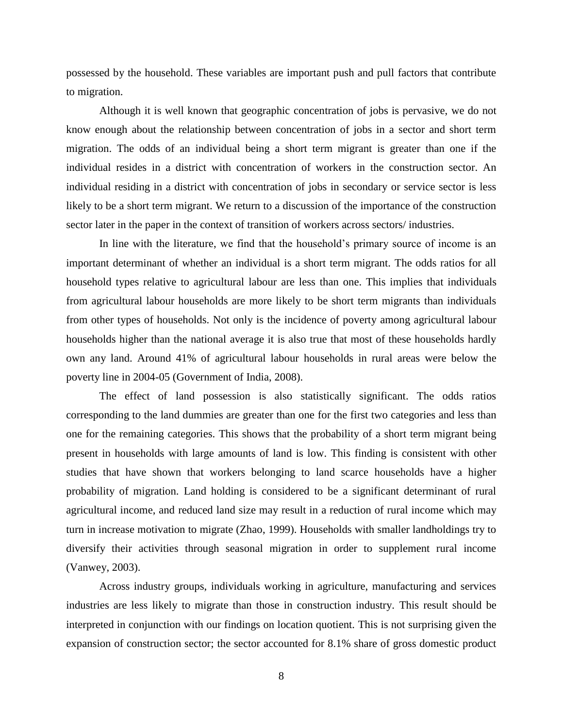possessed by the household. These variables are important push and pull factors that contribute to migration.

Although it is well known that geographic concentration of jobs is pervasive, we do not know enough about the relationship between concentration of jobs in a sector and short term migration. The odds of an individual being a short term migrant is greater than one if the individual resides in a district with concentration of workers in the construction sector. An individual residing in a district with concentration of jobs in secondary or service sector is less likely to be a short term migrant. We return to a discussion of the importance of the construction sector later in the paper in the context of transition of workers across sectors/ industries.

In line with the literature, we find that the household's primary source of income is an important determinant of whether an individual is a short term migrant. The odds ratios for all household types relative to agricultural labour are less than one. This implies that individuals from agricultural labour households are more likely to be short term migrants than individuals from other types of households. Not only is the incidence of poverty among agricultural labour households higher than the national average it is also true that most of these households hardly own any land. Around 41% of agricultural labour households in rural areas were below the poverty line in 2004-05 (Government of India, 2008).

The effect of land possession is also statistically significant. The odds ratios corresponding to the land dummies are greater than one for the first two categories and less than one for the remaining categories. This shows that the probability of a short term migrant being present in households with large amounts of land is low. This finding is consistent with other studies that have shown that workers belonging to land scarce households have a higher probability of migration. Land holding is considered to be a significant determinant of rural agricultural income, and reduced land size may result in a reduction of rural income which may turn in increase motivation to migrate (Zhao, 1999). Households with smaller landholdings try to diversify their activities through seasonal migration in order to supplement rural income (Vanwey, 2003).

Across industry groups, individuals working in agriculture, manufacturing and services industries are less likely to migrate than those in construction industry. This result should be interpreted in conjunction with our findings on location quotient. This is not surprising given the expansion of construction sector; the sector accounted for 8.1% share of gross domestic product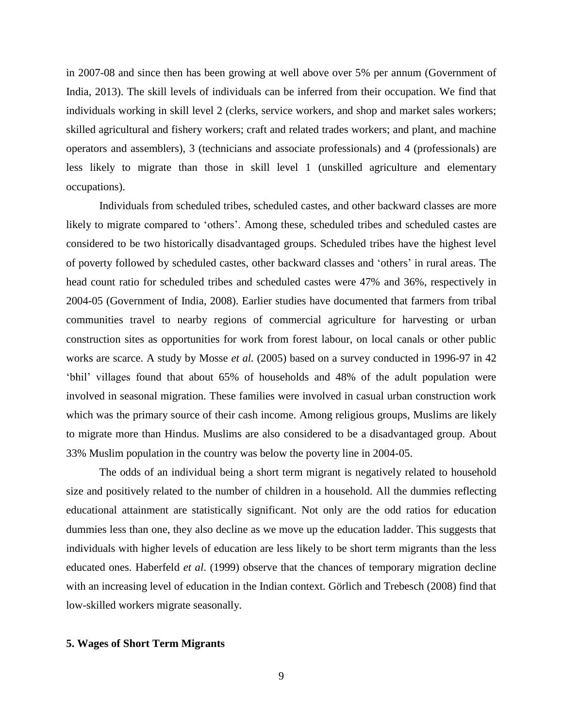in 2007-08 and since then has been growing at well above over 5% per annum (Government of India, 2013). The skill levels of individuals can be inferred from their occupation. We find that individuals working in skill level 2 (clerks, service workers, and shop and market sales workers; skilled agricultural and fishery workers; craft and related trades workers; and plant, and machine operators and assemblers), 3 (technicians and associate professionals) and 4 (professionals) are less likely to migrate than those in skill level 1 (unskilled agriculture and elementary occupations).

Individuals from scheduled tribes, scheduled castes, and other backward classes are more likely to migrate compared to 'others'. Among these, scheduled tribes and scheduled castes are considered to be two historically disadvantaged groups. Scheduled tribes have the highest level of poverty followed by scheduled castes, other backward classes and 'others' in rural areas. The head count ratio for scheduled tribes and scheduled castes were 47% and 36%, respectively in 2004-05 (Government of India, 2008). Earlier studies have documented that farmers from tribal communities travel to nearby regions of commercial agriculture for harvesting or urban construction sites as opportunities for work from forest labour, on local canals or other public works are scarce. A study by Mosse *et al.* (2005) based on a survey conducted in 1996-97 in 42 'bhil' villages found that about 65% of households and 48% of the adult population were involved in seasonal migration. These families were involved in casual urban construction work which was the primary source of their cash income. Among religious groups, Muslims are likely to migrate more than Hindus. Muslims are also considered to be a disadvantaged group. About 33% Muslim population in the country was below the poverty line in 2004-05.

The odds of an individual being a short term migrant is negatively related to household size and positively related to the number of children in a household. All the dummies reflecting educational attainment are statistically significant. Not only are the odd ratios for education dummies less than one, they also decline as we move up the education ladder. This suggests that individuals with higher levels of education are less likely to be short term migrants than the less educated ones. Haberfeld *et al*. (1999) observe that the chances of temporary migration decline with an increasing level of education in the Indian context. Görlich and Trebesch (2008) find that low-skilled workers migrate seasonally.

# **5. Wages of Short Term Migrants**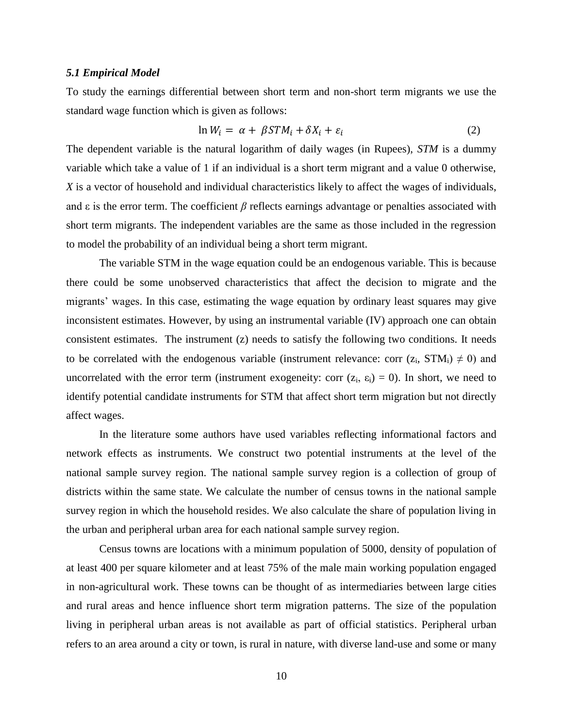## *5.1 Empirical Model*

To study the earnings differential between short term and non-short term migrants we use the standard wage function which is given as follows:

$$
\ln W_i = \alpha + \beta STM_i + \delta X_i + \varepsilon_i \tag{2}
$$

The dependent variable is the natural logarithm of daily wages (in Rupees), *STM* is a dummy variable which take a value of 1 if an individual is a short term migrant and a value 0 otherwise, *X* is a vector of household and individual characteristics likely to affect the wages of individuals, and  $\varepsilon$  is the error term. The coefficient  $\beta$  reflects earnings advantage or penalties associated with short term migrants. The independent variables are the same as those included in the regression to model the probability of an individual being a short term migrant.

The variable STM in the wage equation could be an endogenous variable. This is because there could be some unobserved characteristics that affect the decision to migrate and the migrants' wages. In this case, estimating the wage equation by ordinary least squares may give inconsistent estimates. However, by using an instrumental variable (IV) approach one can obtain consistent estimates. The instrument (z) needs to satisfy the following two conditions. It needs to be correlated with the endogenous variable (instrument relevance: corr  $(z_i, STM_i) \neq 0$ ) and uncorrelated with the error term (instrument exogeneity: corr  $(z_i, \epsilon_i) = 0$ ). In short, we need to identify potential candidate instruments for STM that affect short term migration but not directly affect wages.

In the literature some authors have used variables reflecting informational factors and network effects as instruments. We construct two potential instruments at the level of the national sample survey region. The national sample survey region is a collection of group of districts within the same state. We calculate the number of census towns in the national sample survey region in which the household resides. We also calculate the share of population living in the urban and peripheral urban area for each national sample survey region.

Census towns are locations with a minimum population of 5000, density of population of at least 400 per square kilometer and at least 75% of the male main working population engaged in non-agricultural work. These towns can be thought of as intermediaries between large cities and rural areas and hence influence short term migration patterns. The size of the population living in peripheral urban areas is not available as part of official statistics. Peripheral urban refers to an area around a city or town, is rural in nature, with diverse land-use and some or many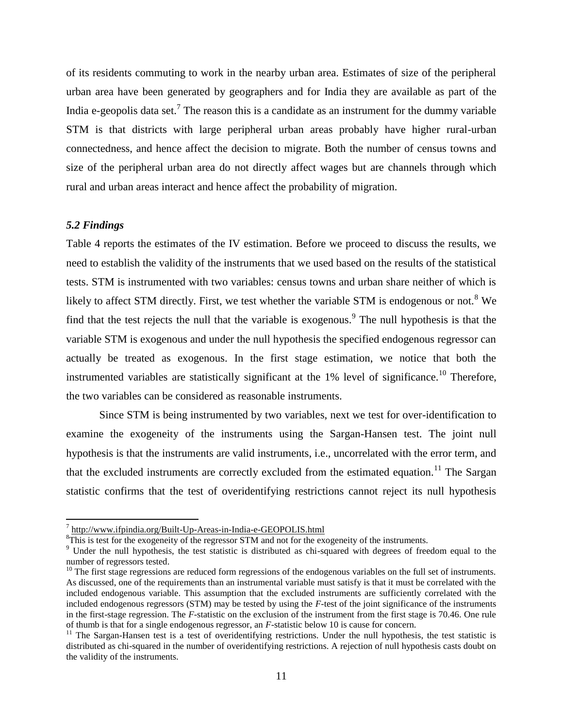of its residents commuting to work in the nearby urban area. Estimates of size of the peripheral urban area have been generated by geographers and for India they are available as part of the India e-geopolis data set.<sup>7</sup> The reason this is a candidate as an instrument for the dummy variable STM is that districts with large peripheral urban areas probably have higher rural-urban connectedness, and hence affect the decision to migrate. Both the number of census towns and size of the peripheral urban area do not directly affect wages but are channels through which rural and urban areas interact and hence affect the probability of migration.

# *5.2 Findings*

 $\overline{\phantom{a}}$ 

Table 4 reports the estimates of the IV estimation. Before we proceed to discuss the results, we need to establish the validity of the instruments that we used based on the results of the statistical tests. STM is instrumented with two variables: census towns and urban share neither of which is likely to affect STM directly. First, we test whether the variable STM is endogenous or not.<sup>8</sup> We find that the test rejects the null that the variable is exogenous. <sup>9</sup> The null hypothesis is that the variable STM is exogenous and under the null hypothesis the specified endogenous regressor can actually be treated as exogenous. In the first stage estimation, we notice that both the instrumented variables are statistically significant at the  $1\%$  level of significance.<sup>10</sup> Therefore, the two variables can be considered as reasonable instruments.

Since STM is being instrumented by two variables, next we test for over-identification to examine the exogeneity of the instruments using the Sargan-Hansen test. The joint null hypothesis is that the instruments are valid instruments, i.e., uncorrelated with the error term, and that the excluded instruments are correctly excluded from the estimated equation.<sup>11</sup> The Sargan statistic confirms that the test of overidentifying restrictions cannot reject its null hypothesis

<sup>&</sup>lt;sup>7</sup> <http://www.ifpindia.org/Built-Up-Areas-in-India-e-GEOPOLIS.html>

<sup>&</sup>lt;sup>8</sup>This is test for the exogeneity of the regressor STM and not for the exogeneity of the instruments.

<sup>&</sup>lt;sup>9</sup> Under the null hypothesis, the test statistic is distributed as chi-squared with degrees of freedom equal to the number of regressors tested.

 $10$  The first stage regressions are reduced form regressions of the endogenous variables on the full set of instruments. As discussed, one of the requirements than an instrumental variable must satisfy is that it must be correlated with the included endogenous variable. This assumption that the excluded instruments are sufficiently correlated with the included endogenous regressors (STM) may be tested by using the *F*-test of the joint significance of the instruments in the first-stage regression. The *F*-statistic on the exclusion of the instrument from the first stage is 70.46. One rule of thumb is that for a single endogenous regressor, an *F*-statistic below 10 is cause for concern.

 $11$  The Sargan-Hansen test is a test of overidentifying restrictions. Under the null hypothesis, the test statistic is distributed as chi-squared in the number of overidentifying restrictions. A rejection of null hypothesis casts doubt on the validity of the instruments.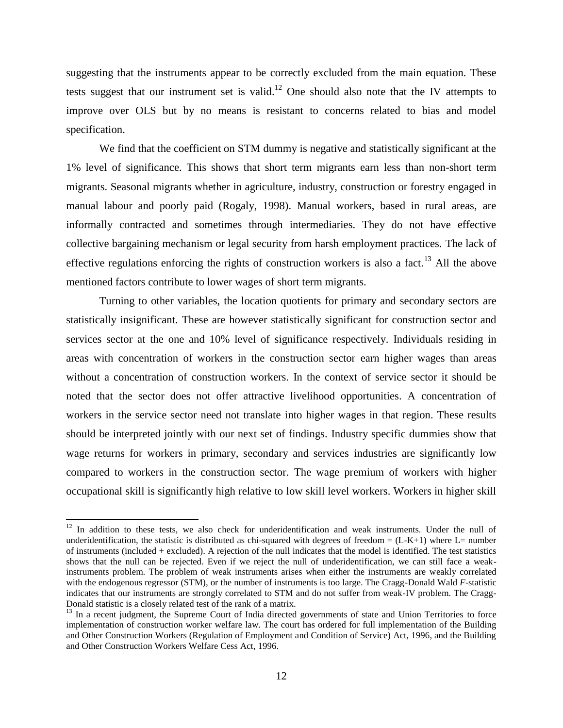suggesting that the instruments appear to be correctly excluded from the main equation. These tests suggest that our instrument set is valid.<sup>12</sup> One should also note that the IV attempts to improve over OLS but by no means is resistant to concerns related to bias and model specification.

We find that the coefficient on STM dummy is negative and statistically significant at the 1% level of significance. This shows that short term migrants earn less than non-short term migrants. Seasonal migrants whether in agriculture, industry, construction or forestry engaged in manual labour and poorly paid (Rogaly, 1998). Manual workers, based in rural areas, are informally contracted and sometimes through intermediaries. They do not have effective collective bargaining mechanism or legal security from harsh employment practices. The lack of effective regulations enforcing the rights of construction workers is also a fact.<sup>13</sup> All the above mentioned factors contribute to lower wages of short term migrants.

Turning to other variables, the location quotients for primary and secondary sectors are statistically insignificant. These are however statistically significant for construction sector and services sector at the one and 10% level of significance respectively. Individuals residing in areas with concentration of workers in the construction sector earn higher wages than areas without a concentration of construction workers. In the context of service sector it should be noted that the sector does not offer attractive livelihood opportunities. A concentration of workers in the service sector need not translate into higher wages in that region. These results should be interpreted jointly with our next set of findings. Industry specific dummies show that wage returns for workers in primary, secondary and services industries are significantly low compared to workers in the construction sector. The wage premium of workers with higher occupational skill is significantly high relative to low skill level workers. Workers in higher skill

 $\overline{\phantom{a}}$ 

<sup>&</sup>lt;sup>12</sup> In addition to these tests, we also check for underidentification and weak instruments. Under the null of underidentification, the statistic is distributed as chi-squared with degrees of freedom  $= (L-K+1)$  where  $L=$  number of instruments (included + excluded). A rejection of the null indicates that the model is identified. The test statistics shows that the null can be rejected. Even if we reject the null of underidentification, we can still face a weakinstruments problem. The problem of weak instruments arises when either the instruments are weakly correlated with the endogenous regressor (STM), or the number of instruments is too large. The Cragg-Donald Wald *F*-statistic indicates that our instruments are strongly correlated to STM and do not suffer from weak-IV problem. The Cragg-Donald statistic is a closely related test of the rank of a matrix.

<sup>&</sup>lt;sup>13</sup> In a recent judgment, the Supreme Court of India directed governments of state and Union Territories to force implementation of construction worker welfare law. The court has ordered for full implementation of the Building and Other Construction Workers (Regulation of Employment and Condition of Service) Act, 1996, and the Building and Other Construction Workers Welfare Cess Act, 1996.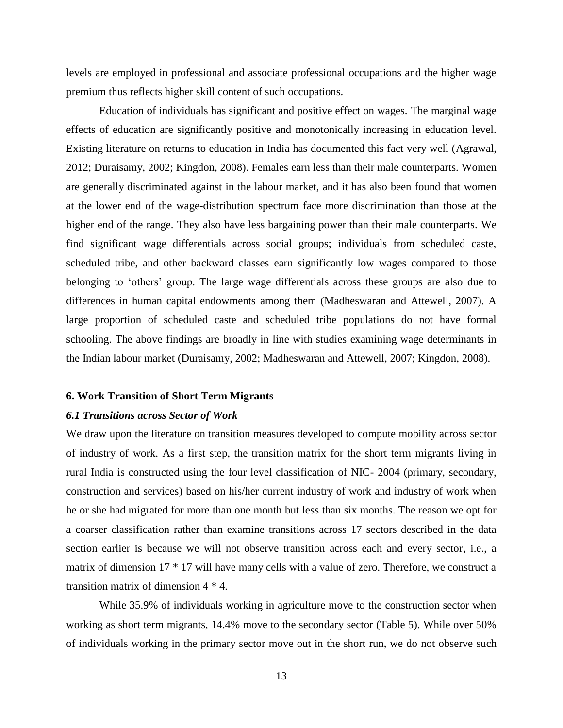levels are employed in professional and associate professional occupations and the higher wage premium thus reflects higher skill content of such occupations.

Education of individuals has significant and positive effect on wages. The marginal wage effects of education are significantly positive and monotonically increasing in education level. Existing literature on returns to education in India has documented this fact very well (Agrawal, 2012; Duraisamy, 2002; Kingdon, 2008). Females earn less than their male counterparts. Women are generally discriminated against in the labour market, and it has also been found that women at the lower end of the wage-distribution spectrum face more discrimination than those at the higher end of the range. They also have less bargaining power than their male counterparts. We find significant wage differentials across social groups; individuals from scheduled caste, scheduled tribe, and other backward classes earn significantly low wages compared to those belonging to 'others' group. The large wage differentials across these groups are also due to differences in human capital endowments among them (Madheswaran and Attewell, 2007). A large proportion of scheduled caste and scheduled tribe populations do not have formal schooling. The above findings are broadly in line with studies examining wage determinants in the Indian labour market (Duraisamy, 2002; Madheswaran and Attewell, 2007; Kingdon, 2008).

## **6. Work Transition of Short Term Migrants**

## *6.1 Transitions across Sector of Work*

We draw upon the literature on transition measures developed to compute mobility across sector of industry of work. As a first step, the transition matrix for the short term migrants living in rural India is constructed using the four level classification of NIC- 2004 (primary, secondary, construction and services) based on his/her current industry of work and industry of work when he or she had migrated for more than one month but less than six months. The reason we opt for a coarser classification rather than examine transitions across 17 sectors described in the data section earlier is because we will not observe transition across each and every sector, i.e., a matrix of dimension 17 \* 17 will have many cells with a value of zero. Therefore, we construct a transition matrix of dimension 4 \* 4.

While 35.9% of individuals working in agriculture move to the construction sector when working as short term migrants, 14.4% move to the secondary sector (Table 5). While over 50% of individuals working in the primary sector move out in the short run, we do not observe such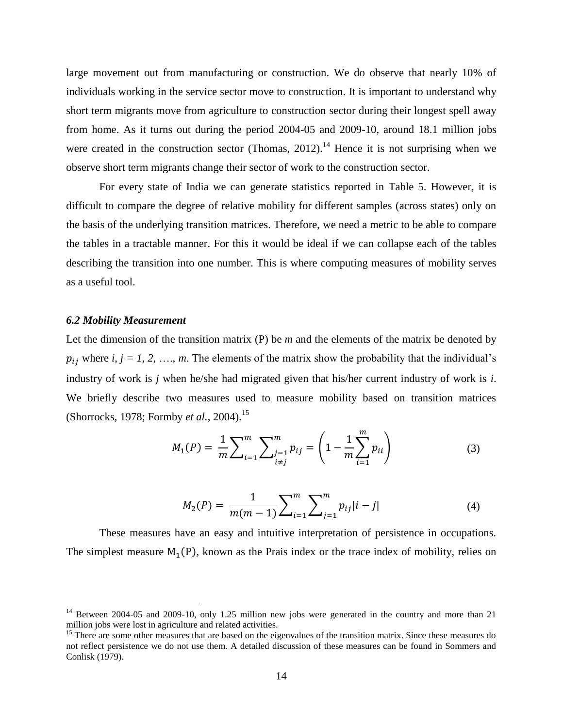large movement out from manufacturing or construction. We do observe that nearly 10% of individuals working in the service sector move to construction. It is important to understand why short term migrants move from agriculture to construction sector during their longest spell away from home. As it turns out during the period 2004-05 and 2009-10, around 18.1 million jobs were created in the construction sector (Thomas,  $2012$ ).<sup>14</sup> Hence it is not surprising when we observe short term migrants change their sector of work to the construction sector.

For every state of India we can generate statistics reported in Table 5. However, it is difficult to compare the degree of relative mobility for different samples (across states) only on the basis of the underlying transition matrices. Therefore, we need a metric to be able to compare the tables in a tractable manner. For this it would be ideal if we can collapse each of the tables describing the transition into one number. This is where computing measures of mobility serves as a useful tool.

# *6.2 Mobility Measurement*

 $\overline{a}$ 

Let the dimension of the transition matrix (P) be *m* and the elements of the matrix be denoted by  $p_{ij}$  where *i, j = 1, 2, …, m*. The elements of the matrix show the probability that the individual's industry of work is *j* when he/she had migrated given that his/her current industry of work is *i*. We briefly describe two measures used to measure mobility based on transition matrices (Shorrocks, 1978; Formby *et al.*, 2004).<sup>15</sup>

$$
M_1(P) = \frac{1}{m} \sum_{i=1}^m \sum_{\substack{j=1 \ i \neq j}}^m p_{ij} = \left(1 - \frac{1}{m} \sum_{i=1}^m p_{ii}\right) \tag{3}
$$

$$
M_2(P) = \frac{1}{m(m-1)} \sum_{i=1}^m \sum_{j=1}^m p_{ij} |i-j|
$$
 (4)

These measures have an easy and intuitive interpretation of persistence in occupations. The simplest measure  $M_1(P)$ , known as the Prais index or the trace index of mobility, relies on

 $14$  Between 2004-05 and 2009-10, only 1.25 million new jobs were generated in the country and more than 21 million jobs were lost in agriculture and related activities.

<sup>&</sup>lt;sup>15</sup> There are some other measures that are based on the eigenvalues of the transition matrix. Since these measures do not reflect persistence we do not use them. A detailed discussion of these measures can be found in Sommers and Conlisk (1979).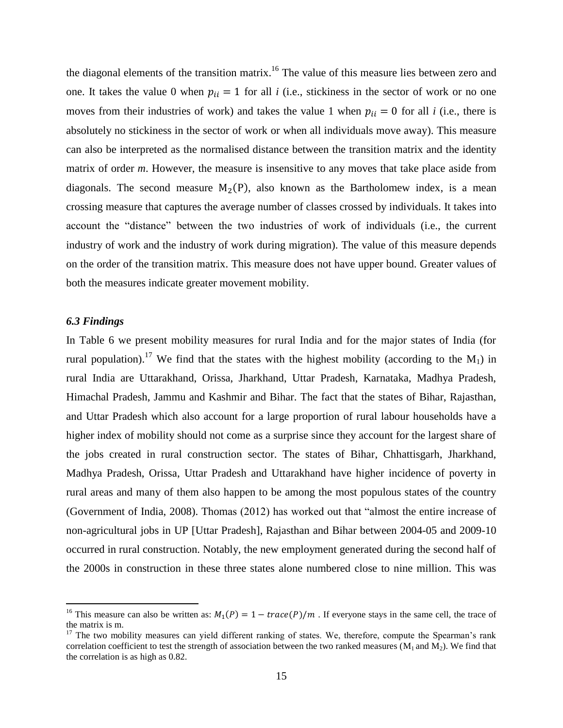the diagonal elements of the transition matrix.<sup>16</sup> The value of this measure lies between zero and one. It takes the value 0 when  $p_{ii} = 1$  for all *i* (i.e., stickiness in the sector of work or no one moves from their industries of work) and takes the value 1 when  $p_{ii} = 0$  for all *i* (i.e., there is absolutely no stickiness in the sector of work or when all individuals move away). This measure can also be interpreted as the normalised distance between the transition matrix and the identity matrix of order *m*. However, the measure is insensitive to any moves that take place aside from diagonals. The second measure  $M_2(P)$ , also known as the Bartholomew index, is a mean crossing measure that captures the average number of classes crossed by individuals. It takes into account the "distance" between the two industries of work of individuals (i.e., the current industry of work and the industry of work during migration). The value of this measure depends on the order of the transition matrix. This measure does not have upper bound. Greater values of both the measures indicate greater movement mobility.

# *6.3 Findings*

l

In Table 6 we present mobility measures for rural India and for the major states of India (for rural population).<sup>17</sup> We find that the states with the highest mobility (according to the  $M_1$ ) in rural India are Uttarakhand, Orissa, Jharkhand, Uttar Pradesh, Karnataka, Madhya Pradesh, Himachal Pradesh, Jammu and Kashmir and Bihar. The fact that the states of Bihar, Rajasthan, and Uttar Pradesh which also account for a large proportion of rural labour households have a higher index of mobility should not come as a surprise since they account for the largest share of the jobs created in rural construction sector. The states of Bihar, Chhattisgarh, Jharkhand, Madhya Pradesh, Orissa, Uttar Pradesh and Uttarakhand have higher incidence of poverty in rural areas and many of them also happen to be among the most populous states of the country (Government of India, 2008). Thomas (2012) has worked out that "almost the entire increase of non-agricultural jobs in UP [Uttar Pradesh], Rajasthan and Bihar between 2004-05 and 2009-10 occurred in rural construction. Notably, the new employment generated during the second half of the 2000s in construction in these three states alone numbered close to nine million. This was

<sup>&</sup>lt;sup>16</sup> This measure can also be written as:  $M_1(P) = 1 - \text{trace}(P)/m$ . If everyone stays in the same cell, the trace of the matrix is m.

 $17$  The two mobility measures can yield different ranking of states. We, therefore, compute the Spearman's rank correlation coefficient to test the strength of association between the two ranked measures ( $M_1$  and  $M_2$ ). We find that the correlation is as high as 0.82.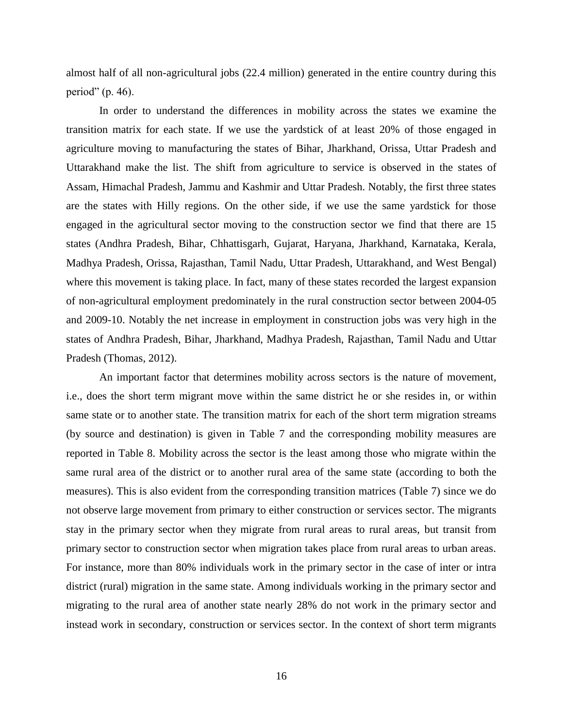almost half of all non-agricultural jobs (22.4 million) generated in the entire country during this period" (p. 46).

In order to understand the differences in mobility across the states we examine the transition matrix for each state. If we use the yardstick of at least 20% of those engaged in agriculture moving to manufacturing the states of Bihar, Jharkhand, Orissa, Uttar Pradesh and Uttarakhand make the list. The shift from agriculture to service is observed in the states of Assam, Himachal Pradesh, Jammu and Kashmir and Uttar Pradesh. Notably, the first three states are the states with Hilly regions. On the other side, if we use the same yardstick for those engaged in the agricultural sector moving to the construction sector we find that there are 15 states (Andhra Pradesh, Bihar, Chhattisgarh, Gujarat, Haryana, Jharkhand, Karnataka, Kerala, Madhya Pradesh, Orissa, Rajasthan, Tamil Nadu, Uttar Pradesh, Uttarakhand, and West Bengal) where this movement is taking place. In fact, many of these states recorded the largest expansion of non-agricultural employment predominately in the rural construction sector between 2004-05 and 2009-10. Notably the net increase in employment in construction jobs was very high in the states of Andhra Pradesh, Bihar, Jharkhand, Madhya Pradesh, Rajasthan, Tamil Nadu and Uttar Pradesh (Thomas, 2012).

An important factor that determines mobility across sectors is the nature of movement, i.e., does the short term migrant move within the same district he or she resides in, or within same state or to another state. The transition matrix for each of the short term migration streams (by source and destination) is given in Table 7 and the corresponding mobility measures are reported in Table 8. Mobility across the sector is the least among those who migrate within the same rural area of the district or to another rural area of the same state (according to both the measures). This is also evident from the corresponding transition matrices (Table 7) since we do not observe large movement from primary to either construction or services sector. The migrants stay in the primary sector when they migrate from rural areas to rural areas, but transit from primary sector to construction sector when migration takes place from rural areas to urban areas. For instance, more than 80% individuals work in the primary sector in the case of inter or intra district (rural) migration in the same state. Among individuals working in the primary sector and migrating to the rural area of another state nearly 28% do not work in the primary sector and instead work in secondary, construction or services sector. In the context of short term migrants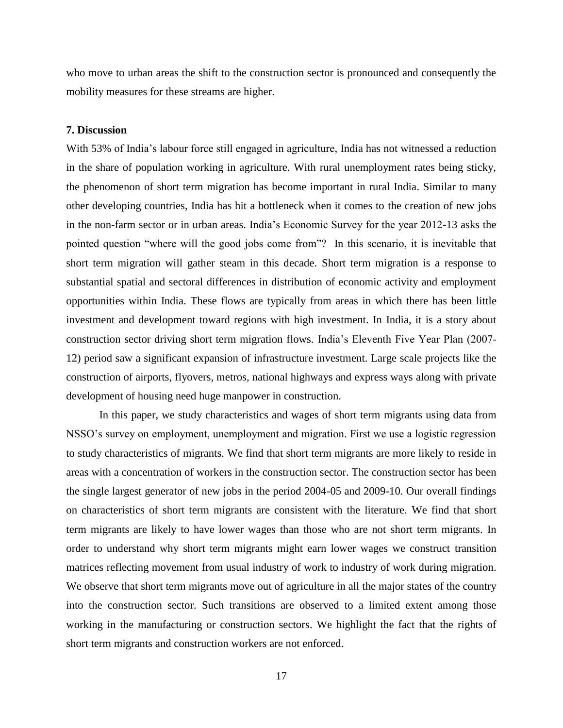who move to urban areas the shift to the construction sector is pronounced and consequently the mobility measures for these streams are higher.

# **7. Discussion**

With 53% of India's labour force still engaged in agriculture, India has not witnessed a reduction in the share of population working in agriculture. With rural unemployment rates being sticky, the phenomenon of short term migration has become important in rural India. Similar to many other developing countries, India has hit a bottleneck when it comes to the creation of new jobs in the non-farm sector or in urban areas. India's Economic Survey for the year 2012-13 asks the pointed question "where will the good jobs come from"? In this scenario, it is inevitable that short term migration will gather steam in this decade. Short term migration is a response to substantial spatial and sectoral differences in distribution of economic activity and employment opportunities within India. These flows are typically from areas in which there has been little investment and development toward regions with high investment. In India, it is a story about construction sector driving short term migration flows. India's Eleventh Five Year Plan (2007- 12) period saw a significant expansion of infrastructure investment. Large scale projects like the construction of airports, flyovers, metros, national highways and express ways along with private development of housing need huge manpower in construction.

In this paper, we study characteristics and wages of short term migrants using data from NSSO's survey on employment, unemployment and migration. First we use a logistic regression to study characteristics of migrants. We find that short term migrants are more likely to reside in areas with a concentration of workers in the construction sector. The construction sector has been the single largest generator of new jobs in the period 2004-05 and 2009-10. Our overall findings on characteristics of short term migrants are consistent with the literature. We find that short term migrants are likely to have lower wages than those who are not short term migrants. In order to understand why short term migrants might earn lower wages we construct transition matrices reflecting movement from usual industry of work to industry of work during migration. We observe that short term migrants move out of agriculture in all the major states of the country into the construction sector. Such transitions are observed to a limited extent among those working in the manufacturing or construction sectors. We highlight the fact that the rights of short term migrants and construction workers are not enforced.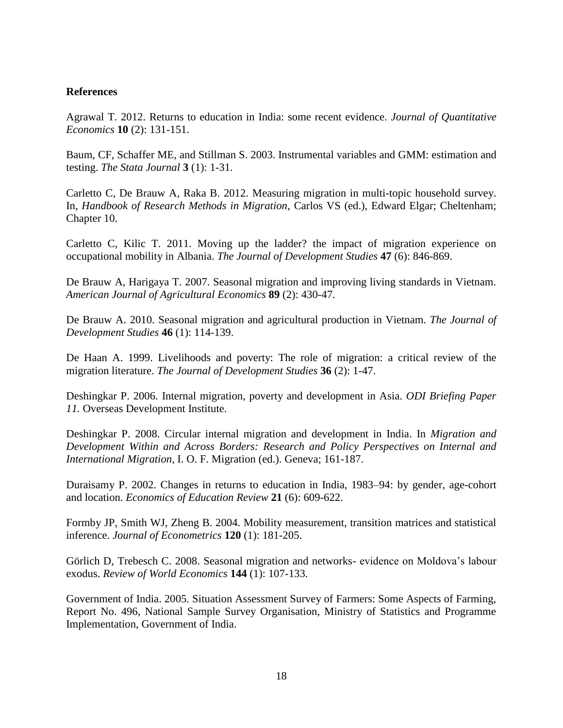# **References**

Agrawal T. 2012. Returns to education in India: some recent evidence. *Journal of Quantitative Economics* **10** (2): 131-151.

Baum, CF, Schaffer ME, and Stillman S. 2003. Instrumental variables and GMM: estimation and testing. *The Stata Journal* **3** (1): 1-31.

Carletto C, De Brauw A, Raka B. 2012. Measuring migration in multi-topic household survey. In, *Handbook of Research Methods in Migration*, Carlos VS (ed.), Edward Elgar; Cheltenham; Chapter 10.

Carletto C, Kilic T. 2011. Moving up the ladder? the impact of migration experience on occupational mobility in Albania. *The Journal of Development Studies* **47** (6): 846-869.

De Brauw A, Harigaya T. 2007. Seasonal migration and improving living standards in Vietnam. *American Journal of Agricultural Economics* **89** (2): 430-47.

De Brauw A. 2010. Seasonal migration and agricultural production in Vietnam. *The Journal of Development Studies* **46** (1): 114-139.

De Haan A. 1999. Livelihoods and poverty: The role of migration: a critical review of the migration literature. *The Journal of Development Studies* **36** (2): 1-47.

Deshingkar P. 2006. Internal migration, poverty and development in Asia. *ODI Briefing Paper 11.* Overseas Development Institute.

Deshingkar P. 2008. Circular internal migration and development in India. In *Migration and Development Within and Across Borders: Research and Policy Perspectives on Internal and International Migration,* I. O. F. Migration (ed.). Geneva; 161-187.

Duraisamy P. 2002. Changes in returns to education in India, 1983–94: by gender, age-cohort and location. *Economics of Education Review* **21** (6): 609-622.

Formby JP, Smith WJ, Zheng B. 2004. Mobility measurement, transition matrices and statistical inference. *Journal of Econometrics* **120** (1): 181-205.

Görlich D, Trebesch C. 2008. Seasonal migration and networks- evidence on Moldova's labour exodus. *Review of World Economics* **144** (1): 107-133.

Government of India. 2005. Situation Assessment Survey of Farmers: Some Aspects of Farming, Report No. 496, National Sample Survey Organisation, Ministry of Statistics and Programme Implementation, Government of India.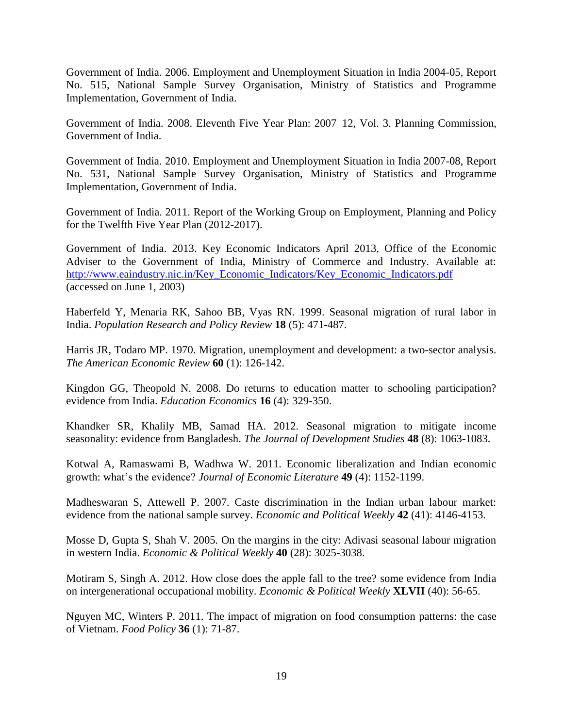Government of India. 2006. Employment and Unemployment Situation in India 2004-05, Report No. 515, National Sample Survey Organisation, Ministry of Statistics and Programme Implementation, Government of India.

Government of India. 2008. Eleventh Five Year Plan: 2007–12, Vol. 3. Planning Commission, Government of India.

Government of India. 2010. Employment and Unemployment Situation in India 2007-08, Report No. 531, National Sample Survey Organisation, Ministry of Statistics and Programme Implementation, Government of India.

Government of India. 2011. Report of the Working Group on Employment, Planning and Policy for the Twelfth Five Year Plan (2012-2017).

Government of India. 2013. Key Economic Indicators April 2013, Office of the Economic Adviser to the Government of India, Ministry of Commerce and Industry. Available at: [http://www.eaindustry.nic.in/Key\\_Economic\\_Indicators/Key\\_Economic\\_Indicators.pdf](http://www.eaindustry.nic.in/Key_Economic_Indicators/Key_Economic_Indicators.pdf) (accessed on June 1, 2003)

Haberfeld Y, Menaria RK, Sahoo BB, Vyas RN. 1999. Seasonal migration of rural labor in India. *Population Research and Policy Review* **18** (5): 471-487.

Harris JR, Todaro MP. 1970. Migration, unemployment and development: a two-sector analysis. *The American Economic Review* **60** (1): 126-142.

Kingdon GG, Theopold N. 2008. Do returns to education matter to schooling participation? evidence from India. *Education Economics* **16** (4): 329-350.

Khandker SR, Khalily MB, Samad HA. 2012. Seasonal migration to mitigate income seasonality: evidence from Bangladesh. *The Journal of Development Studies* **48** (8): 1063-1083.

Kotwal A, Ramaswami B, Wadhwa W. 2011. Economic liberalization and Indian economic growth: what's the evidence? *Journal of Economic Literature* **49** (4): 1152-1199.

Madheswaran S, Attewell P. 2007. Caste discrimination in the Indian urban labour market: evidence from the national sample survey. *Economic and Political Weekly* **42** (41): 4146-4153.

Mosse D, Gupta S, Shah V. 2005. On the margins in the city: Adivasi seasonal labour migration in western India. *Economic & Political Weekly* **40** (28): 3025-3038.

Motiram S, Singh A. 2012. How close does the apple fall to the tree? some evidence from India on intergenerational occupational mobility. *Economic & Political Weekly* **XLVII** (40): 56-65.

Nguyen MC, Winters P. 2011. The impact of migration on food consumption patterns: the case of Vietnam. *Food Policy* **36** (1): 71-87.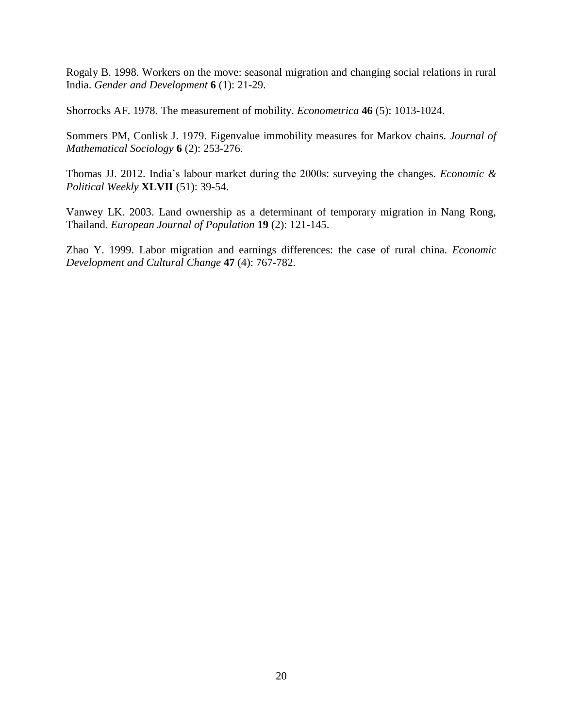Rogaly B. 1998. Workers on the move: seasonal migration and changing social relations in rural India. *Gender and Development* **6** (1): 21-29.

Shorrocks AF. 1978. The measurement of mobility. *Econometrica* **46** (5): 1013-1024.

Sommers PM, Conlisk J. 1979. Eigenvalue immobility measures for Markov chains. *Journal of Mathematical Sociology* **6** (2): 253-276.

Thomas JJ. 2012. India's labour market during the 2000s: surveying the changes. *Economic & Political Weekly* **XLVII** (51): 39-54.

Vanwey LK. 2003. Land ownership as a determinant of temporary migration in Nang Rong, Thailand. *European Journal of Population* **19** (2): 121-145.

Zhao Y. 1999. Labor migration and earnings differences: the case of rural china. *Economic Development and Cultural Change* **47** (4): 767-782.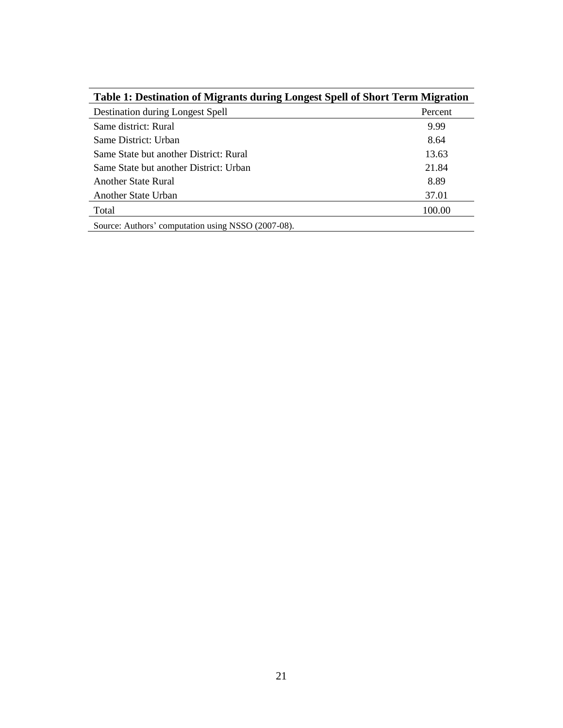| Table 1: Destination of Migrants during Longest Spell of Short Term Migration |         |
|-------------------------------------------------------------------------------|---------|
| Destination during Longest Spell                                              | Percent |
| Same district: Rural                                                          | 9.99    |
| Same District: Urban                                                          | 8.64    |
| Same State but another District: Rural                                        | 13.63   |
| Same State but another District: Urban                                        | 21.84   |
| Another State Rural                                                           | 8.89    |
| Another State Urban                                                           | 37.01   |
| Total                                                                         | 100.00  |
| Source: Authors' computation using NSSO (2007-08).                            |         |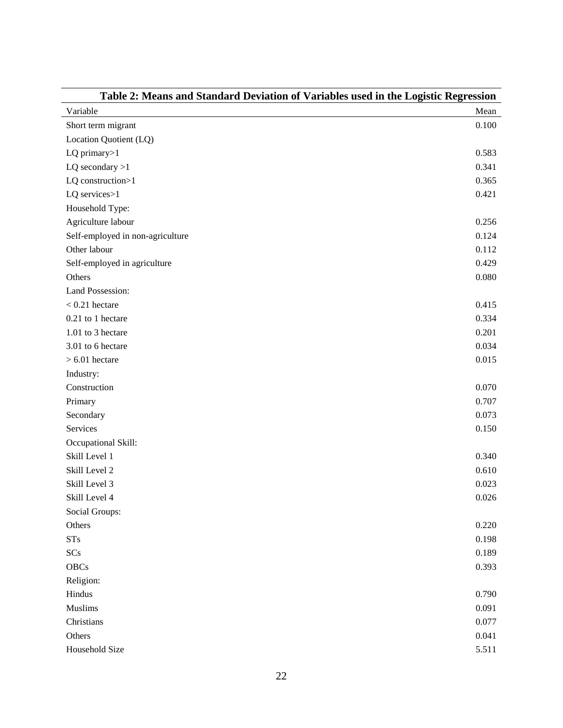| Table 2: Means and Standard Deviation of Variables used in the Logistic Regression |       |  |  |  |
|------------------------------------------------------------------------------------|-------|--|--|--|
| Variable                                                                           | Mean  |  |  |  |
| Short term migrant                                                                 | 0.100 |  |  |  |
| Location Quotient (LQ)                                                             |       |  |  |  |
| LQ primary>1                                                                       | 0.583 |  |  |  |
| $LQ$ secondary $>1$                                                                | 0.341 |  |  |  |
| LQ construction>1                                                                  | 0.365 |  |  |  |
| LQ services>1                                                                      | 0.421 |  |  |  |
| Household Type:                                                                    |       |  |  |  |
| Agriculture labour                                                                 | 0.256 |  |  |  |
| Self-employed in non-agriculture                                                   | 0.124 |  |  |  |
| Other labour                                                                       | 0.112 |  |  |  |
| Self-employed in agriculture                                                       | 0.429 |  |  |  |
| Others                                                                             | 0.080 |  |  |  |
| <b>Land Possession:</b>                                                            |       |  |  |  |
| $< 0.21$ hectare                                                                   | 0.415 |  |  |  |
| 0.21 to 1 hectare                                                                  | 0.334 |  |  |  |
| 1.01 to 3 hectare                                                                  | 0.201 |  |  |  |
| 3.01 to 6 hectare                                                                  | 0.034 |  |  |  |
| $> 6.01$ hectare                                                                   | 0.015 |  |  |  |
| Industry:                                                                          |       |  |  |  |
| Construction                                                                       | 0.070 |  |  |  |
| Primary                                                                            | 0.707 |  |  |  |
| Secondary                                                                          | 0.073 |  |  |  |
| Services                                                                           | 0.150 |  |  |  |
| Occupational Skill:                                                                |       |  |  |  |
| Skill Level 1                                                                      | 0.340 |  |  |  |
| Skill Level 2                                                                      | 0.610 |  |  |  |
| Skill Level 3                                                                      | 0.023 |  |  |  |
| Skill Level 4                                                                      | 0.026 |  |  |  |
| Social Groups:                                                                     |       |  |  |  |
| Others                                                                             | 0.220 |  |  |  |
| STs                                                                                | 0.198 |  |  |  |
| SCs                                                                                | 0.189 |  |  |  |
| <b>OBCs</b>                                                                        | 0.393 |  |  |  |
| Religion:                                                                          |       |  |  |  |
| Hindus                                                                             | 0.790 |  |  |  |
| Muslims                                                                            | 0.091 |  |  |  |
| Christians                                                                         | 0.077 |  |  |  |
| Others                                                                             | 0.041 |  |  |  |
| Household Size                                                                     | 5.511 |  |  |  |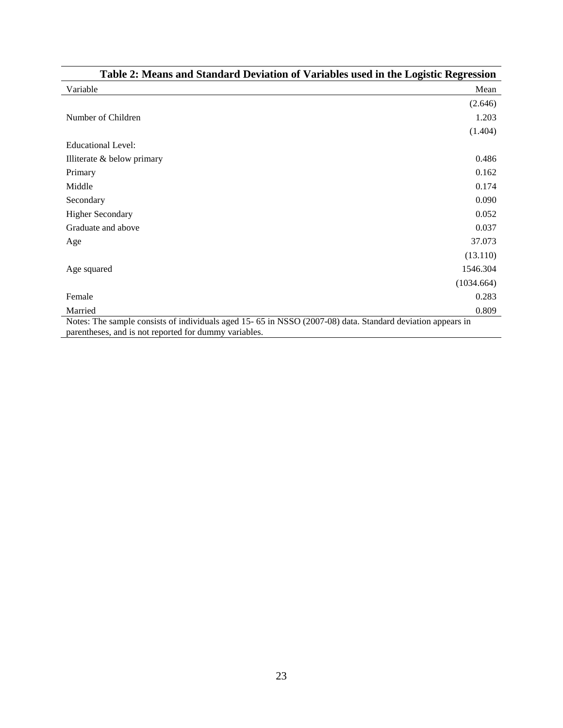| Variable                   | Mean       |
|----------------------------|------------|
|                            | (2.646)    |
| Number of Children         | 1.203      |
|                            | (1.404)    |
| <b>Educational Level:</b>  |            |
| Illiterate & below primary | 0.486      |
| Primary                    | 0.162      |
| Middle                     | 0.174      |
| Secondary                  | 0.090      |
| <b>Higher Secondary</b>    | 0.052      |
| Graduate and above         | 0.037      |
| Age                        | 37.073     |
|                            | (13.110)   |
| Age squared                | 1546.304   |
|                            | (1034.664) |
| Female                     | 0.283      |
| Married                    | 0.809      |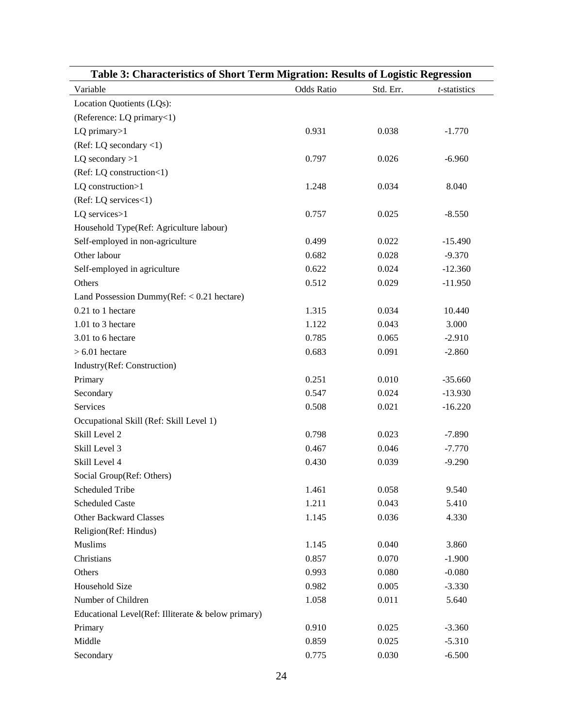| Table 3: Characteristics of Short Term Migration: Results of Logistic Regression |                   |           |              |  |  |  |
|----------------------------------------------------------------------------------|-------------------|-----------|--------------|--|--|--|
| Variable                                                                         | <b>Odds Ratio</b> | Std. Err. | t-statistics |  |  |  |
| Location Quotients (LQs):                                                        |                   |           |              |  |  |  |
| (Reference: LQ primary<1)                                                        |                   |           |              |  |  |  |
| LQ primary $>1$                                                                  | 0.931             | 0.038     | $-1.770$     |  |  |  |
| (Ref: LQ secondary $\langle 1 \rangle$                                           |                   |           |              |  |  |  |
| LQ secondary $>1$                                                                | 0.797             | 0.026     | $-6.960$     |  |  |  |
| (Ref: LQ construction<1)                                                         |                   |           |              |  |  |  |
| LQ construction>1                                                                | 1.248             | 0.034     | 8.040        |  |  |  |
| (Ref: LQ services<1)                                                             |                   |           |              |  |  |  |
| LQ services>1                                                                    | 0.757             | 0.025     | $-8.550$     |  |  |  |
| Household Type(Ref: Agriculture labour)                                          |                   |           |              |  |  |  |
| Self-employed in non-agriculture                                                 | 0.499             | 0.022     | $-15.490$    |  |  |  |
| Other labour                                                                     | 0.682             | 0.028     | $-9.370$     |  |  |  |
| Self-employed in agriculture                                                     | 0.622             | 0.024     | $-12.360$    |  |  |  |
| Others                                                                           | 0.512             | 0.029     | $-11.950$    |  |  |  |
| Land Possession Dummy( $Ref: < 0.21$ hectare)                                    |                   |           |              |  |  |  |
| 0.21 to 1 hectare                                                                | 1.315             | 0.034     | 10.440       |  |  |  |
| 1.01 to 3 hectare                                                                | 1.122             | 0.043     | 3.000        |  |  |  |
| 3.01 to 6 hectare                                                                | 0.785             | 0.065     | $-2.910$     |  |  |  |
| $> 6.01$ hectare                                                                 | 0.683             | 0.091     | $-2.860$     |  |  |  |
| Industry(Ref: Construction)                                                      |                   |           |              |  |  |  |
| Primary                                                                          | 0.251             | 0.010     | $-35.660$    |  |  |  |
| Secondary                                                                        | 0.547             | 0.024     | $-13.930$    |  |  |  |
| Services                                                                         | 0.508             | 0.021     | $-16.220$    |  |  |  |
| Occupational Skill (Ref: Skill Level 1)                                          |                   |           |              |  |  |  |
| Skill Level 2                                                                    | 0.798             | 0.023     | $-7.890$     |  |  |  |
| Skill Level 3                                                                    | 0.467             | 0.046     | $-7.770$     |  |  |  |
| Skill Level 4                                                                    | 0.430             | 0.039     | $-9.290$     |  |  |  |
| Social Group(Ref: Others)                                                        |                   |           |              |  |  |  |
| <b>Scheduled Tribe</b>                                                           | 1.461             | 0.058     | 9.540        |  |  |  |
| <b>Scheduled Caste</b>                                                           | 1.211             | 0.043     | 5.410        |  |  |  |
| <b>Other Backward Classes</b>                                                    | 1.145             | 0.036     | 4.330        |  |  |  |
| Religion(Ref: Hindus)                                                            |                   |           |              |  |  |  |
| <b>Muslims</b>                                                                   | 1.145             | 0.040     | 3.860        |  |  |  |
| Christians                                                                       | 0.857             | 0.070     | $-1.900$     |  |  |  |
| Others                                                                           | 0.993             | 0.080     | $-0.080$     |  |  |  |
| Household Size                                                                   | 0.982             | 0.005     | $-3.330$     |  |  |  |
| Number of Children                                                               | 1.058             | 0.011     | 5.640        |  |  |  |
| Educational Level(Ref: Illiterate & below primary)                               |                   |           |              |  |  |  |
| Primary                                                                          | 0.910             | 0.025     | $-3.360$     |  |  |  |
| Middle                                                                           | 0.859             | 0.025     | $-5.310$     |  |  |  |
| Secondary                                                                        | 0.775             | 0.030     | $-6.500$     |  |  |  |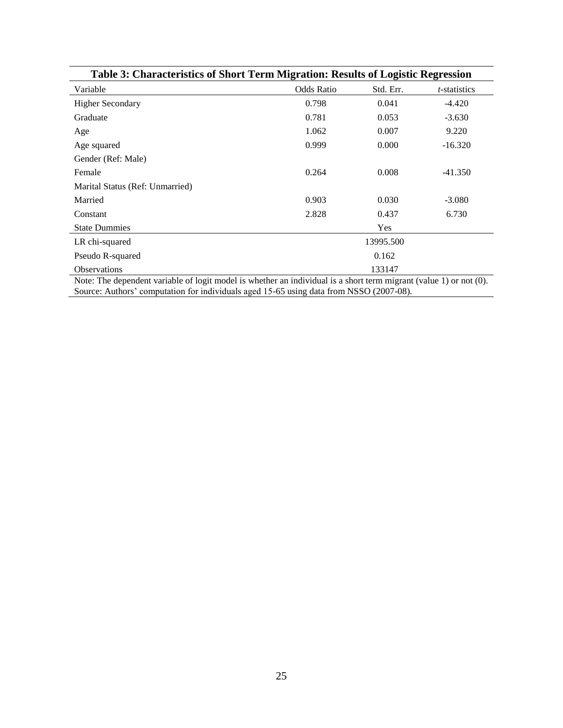| Table 3: Characteristics of Short Term Migration: Results of Logistic Regression |                   |            |                      |  |  |  |
|----------------------------------------------------------------------------------|-------------------|------------|----------------------|--|--|--|
| Variable                                                                         | <b>Odds Ratio</b> | Std. Err.  | <i>t</i> -statistics |  |  |  |
| <b>Higher Secondary</b>                                                          | 0.798             | 0.041      | $-4.420$             |  |  |  |
| Graduate                                                                         | 0.781             | 0.053      | $-3.630$             |  |  |  |
| Age                                                                              | 1.062             | 0.007      | 9.220                |  |  |  |
| Age squared                                                                      | 0.999             | 0.000      | $-16.320$            |  |  |  |
| Gender (Ref: Male)                                                               |                   |            |                      |  |  |  |
| Female                                                                           | 0.264             | 0.008      | $-41.350$            |  |  |  |
| Marital Status (Ref: Unmarried)                                                  |                   |            |                      |  |  |  |
| Married                                                                          | 0.903             | 0.030      | $-3.080$             |  |  |  |
| Constant                                                                         | 2.828             | 0.437      | 6.730                |  |  |  |
| <b>State Dummies</b>                                                             |                   | <b>Yes</b> |                      |  |  |  |
| LR chi-squared                                                                   |                   | 13995.500  |                      |  |  |  |
| Pseudo R-squared                                                                 |                   | 0.162      |                      |  |  |  |
| Observations<br>$11.1$ $1.1$<br>$\cdot$ 11<br>$c_1$ , $c_2$<br>$\sim$ $\sim$     |                   | 133147     |                      |  |  |  |

Note: The dependent variable of logit model is whether an individual is a short term migrant (value 1) or not (0). Source: Authors' computation for individuals aged 15-65 using data from NSSO (2007-08).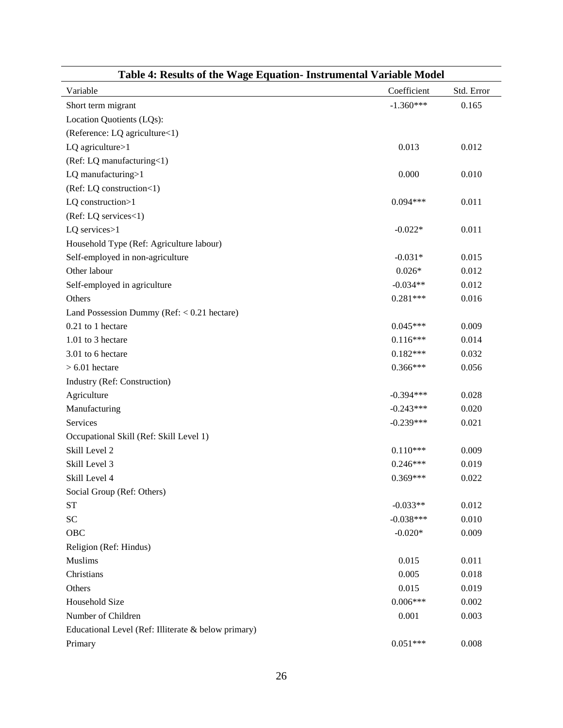| Table 4: Results of the Wage Equation- Instrumental Variable Model |             |            |  |  |  |  |
|--------------------------------------------------------------------|-------------|------------|--|--|--|--|
| Variable                                                           | Coefficient | Std. Error |  |  |  |  |
| Short term migrant                                                 | $-1.360***$ | 0.165      |  |  |  |  |
| Location Quotients (LQs):                                          |             |            |  |  |  |  |
| (Reference: LQ agriculture<1)                                      |             |            |  |  |  |  |
| LQ agriculture>1                                                   | 0.013       | 0.012      |  |  |  |  |
| (Ref: LQ manufacturing<1)                                          |             |            |  |  |  |  |
| LQ manufacturing>1                                                 | 0.000       | 0.010      |  |  |  |  |
| (Ref: LQ construction<1)                                           |             |            |  |  |  |  |
| LQ construction>1                                                  | $0.094***$  | 0.011      |  |  |  |  |
| (Ref: LQ services<1)                                               |             |            |  |  |  |  |
| LQ services>1                                                      | $-0.022*$   | 0.011      |  |  |  |  |
| Household Type (Ref: Agriculture labour)                           |             |            |  |  |  |  |
| Self-employed in non-agriculture                                   | $-0.031*$   | 0.015      |  |  |  |  |
| Other labour                                                       | $0.026*$    | 0.012      |  |  |  |  |
| Self-employed in agriculture                                       | $-0.034**$  | 0.012      |  |  |  |  |
| Others                                                             | $0.281***$  | 0.016      |  |  |  |  |
| Land Possession Dummy ( $Ref: < 0.21$ hectare)                     |             |            |  |  |  |  |
| 0.21 to 1 hectare                                                  | $0.045***$  | 0.009      |  |  |  |  |
| 1.01 to 3 hectare                                                  | $0.116***$  | 0.014      |  |  |  |  |
| 3.01 to 6 hectare                                                  | $0.182***$  | 0.032      |  |  |  |  |
| $> 6.01$ hectare                                                   | $0.366***$  | 0.056      |  |  |  |  |
| Industry (Ref: Construction)                                       |             |            |  |  |  |  |
| Agriculture                                                        | $-0.394***$ | 0.028      |  |  |  |  |
| Manufacturing                                                      | $-0.243***$ | 0.020      |  |  |  |  |
| Services                                                           | $-0.239***$ | 0.021      |  |  |  |  |
| Occupational Skill (Ref: Skill Level 1)                            |             |            |  |  |  |  |
| Skill Level 2                                                      | $0.110***$  | 0.009      |  |  |  |  |
| Skill Level 3                                                      | $0.246***$  | 0.019      |  |  |  |  |
| Skill Level 4                                                      | $0.369***$  | 0.022      |  |  |  |  |
| Social Group (Ref: Others)                                         |             |            |  |  |  |  |
| <b>ST</b>                                                          | $-0.033**$  | 0.012      |  |  |  |  |
| <b>SC</b>                                                          | $-0.038***$ | 0.010      |  |  |  |  |
| OBC                                                                | $-0.020*$   | 0.009      |  |  |  |  |
| Religion (Ref: Hindus)                                             |             |            |  |  |  |  |
| Muslims                                                            | 0.015       | 0.011      |  |  |  |  |
| Christians                                                         | 0.005       | 0.018      |  |  |  |  |
| Others                                                             | 0.015       | 0.019      |  |  |  |  |
| Household Size                                                     | $0.006***$  | 0.002      |  |  |  |  |
| Number of Children                                                 | 0.001       | 0.003      |  |  |  |  |
| Educational Level (Ref: Illiterate & below primary)                |             |            |  |  |  |  |
| Primary                                                            | $0.051***$  | 0.008      |  |  |  |  |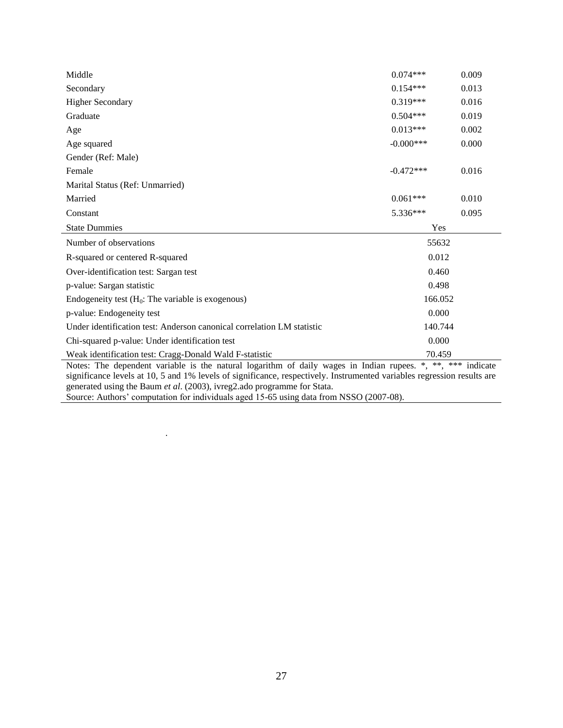| Middle                                                                                                                                                                                                                                 | $0.074***$   | 0.009 |  |  |  |
|----------------------------------------------------------------------------------------------------------------------------------------------------------------------------------------------------------------------------------------|--------------|-------|--|--|--|
| Secondary                                                                                                                                                                                                                              | $0.154***$   | 0.013 |  |  |  |
| <b>Higher Secondary</b>                                                                                                                                                                                                                | $0.319***$   | 0.016 |  |  |  |
| Graduate                                                                                                                                                                                                                               | $0.504***$   | 0.019 |  |  |  |
| Age                                                                                                                                                                                                                                    | $0.013***$   | 0.002 |  |  |  |
| Age squared                                                                                                                                                                                                                            | $-0.000$ *** | 0.000 |  |  |  |
| Gender (Ref: Male)                                                                                                                                                                                                                     |              |       |  |  |  |
| Female                                                                                                                                                                                                                                 | $-0.472***$  | 0.016 |  |  |  |
| Marital Status (Ref: Unmarried)                                                                                                                                                                                                        |              |       |  |  |  |
| Married                                                                                                                                                                                                                                | $0.061***$   | 0.010 |  |  |  |
| Constant                                                                                                                                                                                                                               | $5.336***$   | 0.095 |  |  |  |
| <b>State Dummies</b>                                                                                                                                                                                                                   | Yes          |       |  |  |  |
| Number of observations                                                                                                                                                                                                                 | 55632        |       |  |  |  |
| R-squared or centered R-squared                                                                                                                                                                                                        | 0.012        |       |  |  |  |
| Over-identification test: Sargan test                                                                                                                                                                                                  | 0.460        |       |  |  |  |
| p-value: Sargan statistic                                                                                                                                                                                                              | 0.498        |       |  |  |  |
| Endogeneity test $(H_0:$ The variable is exogenous)                                                                                                                                                                                    | 166.052      |       |  |  |  |
| p-value: Endogeneity test                                                                                                                                                                                                              | 0.000        |       |  |  |  |
| Under identification test: Anderson canonical correlation LM statistic                                                                                                                                                                 | 140.744      |       |  |  |  |
| Chi-squared p-value: Under identification test                                                                                                                                                                                         | 0.000        |       |  |  |  |
| Weak identification test: Cragg-Donald Wald F-statistic<br>70.459                                                                                                                                                                      |              |       |  |  |  |
| Notes: The dependent variable is the natural logarithm of daily wages in Indian rupees. *, **, *** indicate<br>significance levels at 10, 5 and 1% levels of significance, respectively. Instrumented variables regression results are |              |       |  |  |  |

generated using the Baum *et al*. (2003), ivreg2.ado programme for Stata. Source: Authors' computation for individuals aged 15-65 using data from NSSO (2007-08).

.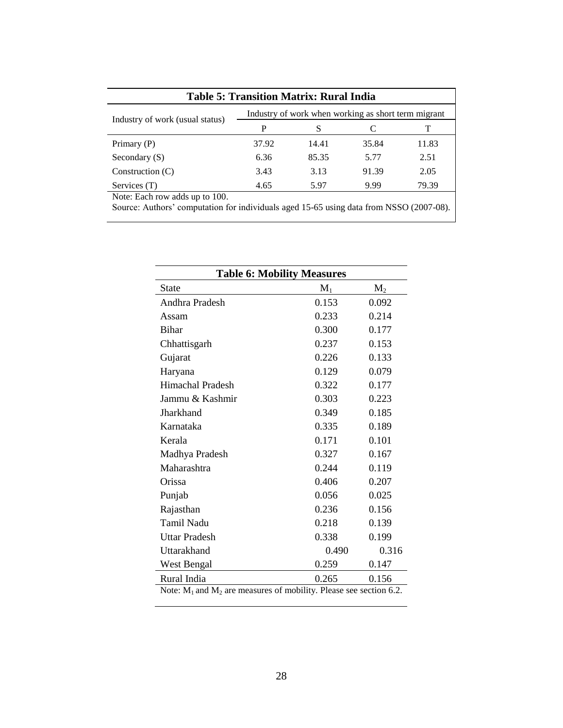| <b>Table 5: Transition Matrix: Rural India</b>      |       |       |       |       |  |  |  |
|-----------------------------------------------------|-------|-------|-------|-------|--|--|--|
| Industry of work when working as short term migrant |       |       |       |       |  |  |  |
| Industry of work (usual status)                     | P     | S     | C     |       |  |  |  |
| Primary (P)                                         | 37.92 | 14.41 | 35.84 | 11.83 |  |  |  |
| Secondary $(S)$                                     | 6.36  | 85.35 | 5.77  | 2.51  |  |  |  |
| Construction $(C)$                                  | 3.43  | 3.13  | 91.39 | 2.05  |  |  |  |
| Services (T)                                        | 4.65  | 5.97  | 9.99  | 79.39 |  |  |  |
| Note: Each row adds up to 100.                      |       |       |       |       |  |  |  |

Source: Authors' computation for individuals aged 15-65 using data from NSSO (2007-08).

| <b>Table 6: Mobility Measures</b>                                       |       |       |  |  |  |  |
|-------------------------------------------------------------------------|-------|-------|--|--|--|--|
| <b>State</b>                                                            | $M_1$ | $M_2$ |  |  |  |  |
| Andhra Pradesh                                                          | 0.153 | 0.092 |  |  |  |  |
| Assam                                                                   | 0.233 | 0.214 |  |  |  |  |
| <b>Bihar</b>                                                            | 0.300 | 0.177 |  |  |  |  |
| Chhattisgarh                                                            | 0.237 | 0.153 |  |  |  |  |
| Gujarat                                                                 | 0.226 | 0.133 |  |  |  |  |
| Haryana                                                                 | 0.129 | 0.079 |  |  |  |  |
| <b>Himachal Pradesh</b>                                                 | 0.322 | 0.177 |  |  |  |  |
| Jammu & Kashmir                                                         | 0.303 | 0.223 |  |  |  |  |
| Jharkhand                                                               | 0.349 | 0.185 |  |  |  |  |
| Karnataka                                                               | 0.335 | 0.189 |  |  |  |  |
| Kerala                                                                  | 0.171 | 0.101 |  |  |  |  |
| Madhya Pradesh                                                          | 0.327 | 0.167 |  |  |  |  |
| Maharashtra                                                             | 0.244 | 0.119 |  |  |  |  |
| Orissa                                                                  | 0.406 | 0.207 |  |  |  |  |
| Punjab                                                                  | 0.056 | 0.025 |  |  |  |  |
| Rajasthan                                                               | 0.236 | 0.156 |  |  |  |  |
| <b>Tamil Nadu</b>                                                       | 0.218 | 0.139 |  |  |  |  |
| Uttar Pradesh                                                           | 0.338 | 0.199 |  |  |  |  |
| Uttarakhand                                                             | 0.490 | 0.316 |  |  |  |  |
| West Bengal                                                             | 0.259 | 0.147 |  |  |  |  |
| Rural India                                                             | 0.265 | 0.156 |  |  |  |  |
| Note: $M_1$ and $M_2$ are measures of mobility. Please see section 6.2. |       |       |  |  |  |  |

28